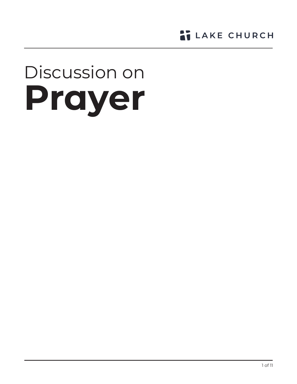**LAKE CHURCH** 

# Discussion on **Prayer**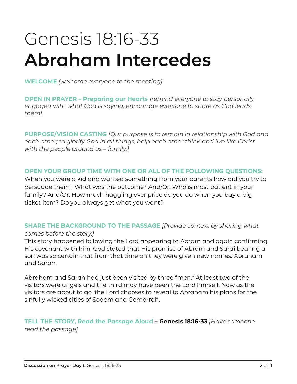# Genesis 18:16-33 **Abraham Intercedes**

**WELCOME** *[welcome everyone to the meeting]*

**OPEN IN PRAYER – Preparing our Hearts** *[remind everyone to stay personally engaged with what God is saying, encourage everyone to share as God leads them]*

**PURPOSE/VISION CASTING** *[Our purpose is to remain in relationship with God and each other; to glorify God in all things, help each other think and live like Christ with the people around us – family.]* 

#### **OPEN YOUR GROUP TIME WITH ONE OR ALL OF THE FOLLOWING QUESTIONS:**

When you were a kid and wanted something from your parents how did you try to persuade them? What was the outcome? And/Or. Who is most patient in your family? And/Or. How much haggling over price do you do when you buy a bigticket item? Do you always get what you want?

## **SHARE THE BACKGROUND TO THE PASSAGE** *[Provide context by sharing what*

#### *comes before the story.]*

This story happened following the Lord appearing to Abram and again confirming His covenant with him. God stated that His promise of Abram and Sarai bearing a son was so certain that from that time on they were given new names: Abraham and Sarah.

Abraham and Sarah had just been visited by three "men." At least two of the visitors were angels and the third may have been the Lord himself. Now as the visitors are about to go, the Lord chooses to reveal to Abraham his plans for the sinfully wicked cities of Sodom and Gomorrah.

# **TELL THE STORY, Read the Passage Aloud – Genesis 18:16-33** *[Have someone*

*read the passage]*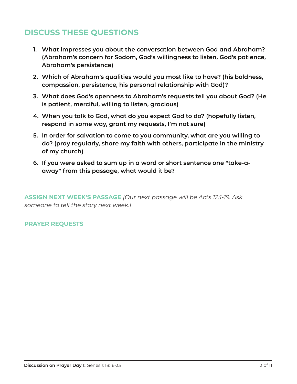- **1. What impresses you about the conversation between God and Abraham? (Abraham's concern for Sodom, God's willingness to listen, God's patience, Abraham's persistence)**
- **2. Which of Abraham's qualities would you most like to have? (his boldness, compassion, persistence, his personal relationship with God)?**
- **3. What does God's openness to Abraham's requests tell you about God? (He is patient, merciful, willing to listen, gracious)**
- **4. When you talk to God, what do you expect God to do? (hopefully listen, respond in some way, grant my requests, I'm not sure)**
- **5. In order for salvation to come to you community, what are you willing to do? (pray regularly, share my faith with others, participate in the ministry of my church)**
- **6. If you were asked to sum up in a word or short sentence one "take-aaway" from this passage, what would it be?**

**ASSIGN NEXT WEEK'S PASSAGE** *[Our next passage will be Acts 12:1-19. Ask someone to tell the story next week.]*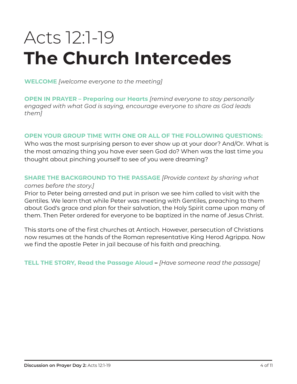# Acts 12:1-19 Acts 12:1-19 The Church Intercedes **The Church Intercedes**

**WELCOME** *[welcome everyone to the meeting]*

**OPEN IN PRAYER – Preparing our Hearts** *[remind everyone to stay personally engaged with what God is saying, encourage everyone to share as God leads them]*

#### **OPEN YOUR GROUP TIME WITH ONE OR ALL OF THE FOLLOWING QUESTIONS:**

Who was the most surprising person to ever show up at your door? And/Or. What is the most amazing thing you have ever seen God do? When was the last time you thought about pinching yourself to see of you were dreaming?

### **SHARE THE BACKGROUND TO THE PASSAGE** *[Provide context by sharing what*

#### *comes before the story.]*

Prior to Peter being arrested and put in prison we see him called to visit with the Gentiles. We learn that while Peter was meeting with Gentiles, preaching to them about God's grace and plan for their salvation, the Holy Spirit came upon many of them. Then Peter ordered for everyone to be baptized in the name of Jesus Christ.

This starts one of the first churches at Antioch. However, persecution of Christians now resumes at the hands of the Roman representative King Herod Agrippa. Now we find the apostle Peter in jail because of his faith and preaching.

**TELL THE STORY, Read the Passage Aloud –** *[Have someone read the passage]*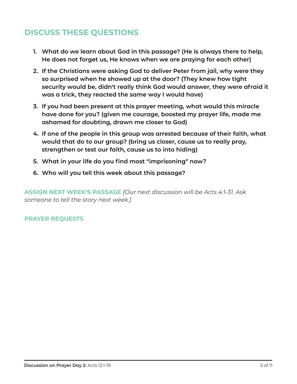- **1. What do we learn about God in this passage? (He is always there to help, He does not forget us, He knows when we are praying for each other)**
- **2. If the Christians were asking God to deliver Peter from jail, why were they so surprised when he showed up at the door? (They knew how tight security would be, didn't really think God would answer, they were afraid it was a trick, they reacted the same way I would have)**
- **3. If you had been present at this prayer meeting, what would this miracle have done for you? (given me courage, boosted my prayer life, made me ashamed for doubting, drawn me closer to God)**
- **4. If one of the people in this group was arrested because of their faith, what would that do to our group? (bring us closer, cause us to really pray, strengthen or test our faith, cause us to into hiding)**
- **5. What in your life do you find most "imprisoning" now?**
- **6. Who will you tell this week about this passage?**

**ASSIGN NEXT WEEK'S PASSAGE** *[Our next discussion will be Acts 4:1-31. Ask someone to tell the story next week.]*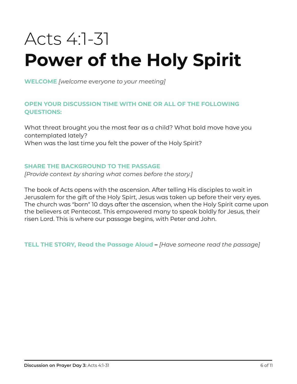# Acts 4:1-31 **Power of the Holy Spirit**

**WELCOME** *[welcome everyone to your meeting]* 

#### **OPEN YOUR DISCUSSION TIME WITH ONE OR ALL OF THE FOLLOWING QUESTIONS:**

What threat brought you the most fear as a child? What bold move have you contemplated lately? When was the last time you felt the power of the Holy Spirit?

#### **SHARE THE BACKGROUND TO THE PASSAGE**

*[Provide context by sharing what comes before the story.]* 

The book of Acts opens with the ascension. After telling His disciples to wait in Jerusalem for the gift of the Holy Spirt, Jesus was taken up before their very eyes. The church was "born" 10 days after the ascension, when the Holy Spirit came upon the believers at Pentecost. This empowered many to speak boldly for Jesus, their risen Lord. This is where our passage begins, with Peter and John.

**TELL THE STORY, Read the Passage Aloud –** *[Have someone read the passage]*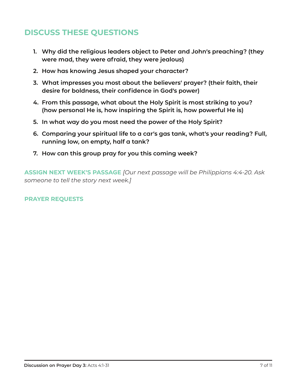- **1. Why did the religious leaders object to Peter and John's preaching? (they were mad, they were afraid, they were jealous)**
- **2. How has knowing Jesus shaped your character?**
- **3. What impresses you most about the believers' prayer? (their faith, their desire for boldness, their confidence in God's power)**
- **4. From this passage, what about the Holy Spirit is most striking to you? (how personal He is, how inspiring the Spirit is, how powerful He is)**
- **5. In what way do you most need the power of the Holy Spirit?**
- **6. Comparing your spiritual life to a car's gas tank, what's your reading? Full, running low, on empty, half a tank?**
- **7. How can this group pray for you this coming week?**

**ASSIGN NEXT WEEK'S PASSAGE** *[Our next passage will be Philippians 4:4-20. Ask someone to tell the story next week.]*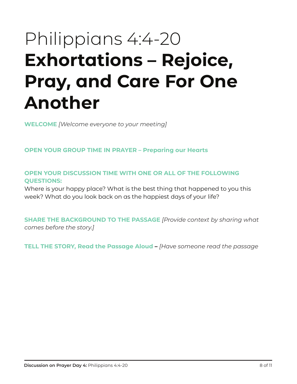# Philippians 4:4-20 **Exhortations – Rejoice, Pray, and Care For One Another**

**WELCOME** *[Welcome everyone to your meeting]* 

**OPEN YOUR GROUP TIME IN PRAYER – Preparing our Hearts** 

**OPEN YOUR DISCUSSION TIME WITH ONE OR ALL OF THE FOLLOWING QUESTIONS:** 

Where is your happy place? What is the best thing that happened to you this week? What do you look back on as the happiest days of your life?

**SHARE THE BACKGROUND TO THE PASSAGE** *[Provide context by sharing what comes before the story.]*

**TELL THE STORY, Read the Passage Aloud –** *[Have someone read the passage*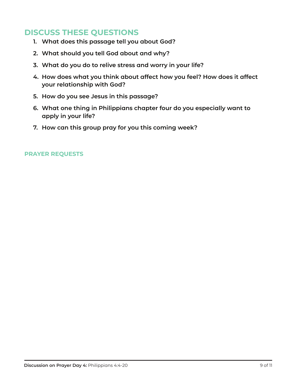- **1. What does this passage tell you about God?**
- **2. What should you tell God about and why?**
- **3. What do you do to relive stress and worry in your life?**
- **4. How does what you think about affect how you feel? How does it affect your relationship with God?**
- **5. How do you see Jesus in this passage?**
- **6. What one thing in Philippians chapter four do you especially want to apply in your life?**
- **7. How can this group pray for you this coming week?**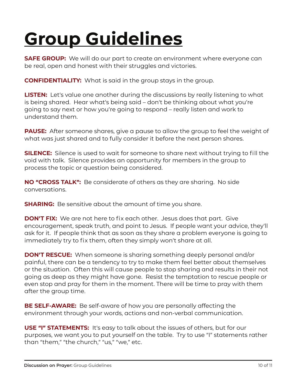# **Group Guidelines**

**SAFE GROUP:** We will do our part to create an environment where everyone can be real, open and honest with their struggles and victories.

**CONFIDENTIALITY:** What is said in the group stays in the group.

**LISTEN:** Let's value one another during the discussions by really listening to what is being shared. Hear what's being said – don't be thinking about what you're going to say next or how you're going to respond – really listen and work to understand them.

**PAUSE:** After someone shares, give a pause to allow the group to feel the weight of what was just shared and to fully consider it before the next person shares.

**SILENCE:** Silence is used to wait for someone to share next without trying to fill the void with talk. Silence provides an opportunity for members in the group to process the topic or question being considered.

**NO "CROSS TALK":** Be considerate of others as they are sharing. No side conversations.

**SHARING:** Be sensitive about the amount of time you share.

**DON'T FIX:** We are not here to fix each other. Jesus does that part. Give encouragement, speak truth, and point to Jesus. If people want your advice, they'll ask for it. If people think that as soon as they share a problem everyone is going to immediately try to fix them, often they simply won't share at all.

**DON'T RESCUE:** When someone is sharing something deeply personal and/or painful, there can be a tendency to try to make them feel better about themselves or the situation. Often this will cause people to stop sharing and results in their not going as deep as they might have gone. Resist the temptation to rescue people or even stop and pray for them in the moment. There will be time to pray with them after the group time.

**BE SELF-AWARE:** Be self-aware of how you are personally affecting the environment through your words, actions and non-verbal communication.

**USE "I" STATEMENTS:** It's easy to talk about the issues of others, but for our purposes, we want you to put yourself on the table. Try to use "I" statements rather than "them," "the church," "us," "we," etc.